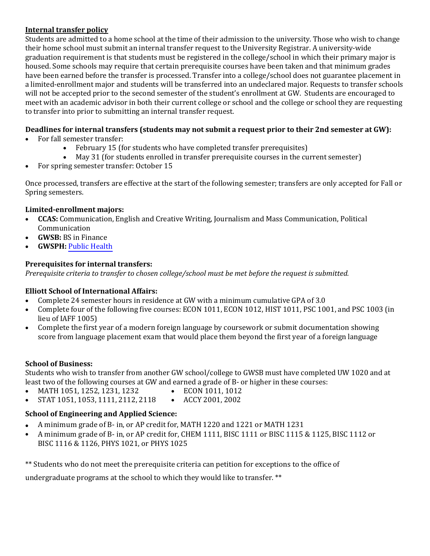#### **Internal transfer policy**

Students are admitted to a home school at the time of their admission to the university. Those who wish to change their home school must submit an internal transfer request to the University Registrar. A university-wide graduation requirement is that students must be registered in the college/school in which their primary major is housed. Some schools may require that certain prerequisite courses have been taken and that minimum grades have been earned before the transfer is processed. Transfer into a college/school does not guarantee placement in a limited-enrollment major and students will be transferred into an undeclared major. Requests to transfer schools will not be accepted prior to the second semester of the student's enrollment at GW. Students are encouraged to meet with an academic advisor in both their current college or school and the college or school they are requesting to transfer into prior to submitting an internal transfer request.

# **Deadlines for internal transfers (students may not submit a request prior to their 2nd semester at GW):**

- For fall semester transfer:
	- February 15 (for students who have completed transfer prerequisites)
	- May 31 (for students enrolled in transfer prerequisite courses in the current semester)
- For spring semester transfer: October 15

Once processed, transfers are effective at the start of the following semester; transfers are only accepted for Fall or Spring semesters.

#### **Limited-enrollment majors:**

- **CCAS:** Communication, English and Creative Writing, Journalism and Mass Communication, Political Communication
- **GWSB:** BS in Finance
- **GWSPH:** [Public Health](https://publichealth.gwu.edu/programs/public-health-bs)

## **Prerequisites for internal transfers:**

*Prerequisite criteria to transfer to chosen college/school must be met before the request is submitted.*

## **Elliott School of International Affairs:**

- Complete 24 semester hours in residence at GW with a minimum cumulative GPA of 3.0
- Complete four of the following five courses: ECON 1011, ECON 1012, HIST 1011, PSC 1001, and PSC 1003 (in lieu of IAFF 1005)
- Complete the first year of a modern foreign language by coursework or submit documentation showing score from language placement exam that would place them beyond the first year of a foreign language

#### **School of Business:**

Students who wish to transfer from another GW school/college to GWSB must have completed UW 1020 and at least two of the following courses at GW and earned a grade of B- or higher in these courses:<br>• MATH 1051, 1252, 1231, 1232 • ECON 1011, 1012

- MATH 1051, 1252, 1231, 1232 • ECON 1011, 1012
- STAT 1051, 1053, 1111, 2112, 2118 • ACCY 2001, 2002

## **School of Engineering and Applied Science:**

- A minimum grade of B- in, or AP credit for, MATH 1220 and 1221 or MATH 1231
- A minimum grade of B- in, or AP credit for, CHEM 1111, BISC 1111 or BISC 1115 & 1125, BISC 1112 or BISC 1116 & 1126, PHYS 1021, or PHYS 1025

\*\* Students who do not meet the prerequisite criteria can petition for exceptions to the office of

un[dergraduate programs at the school to which they would lik](http://publichealth.gwu.edu/programs/public-health-bs)e to transfer. \*\*